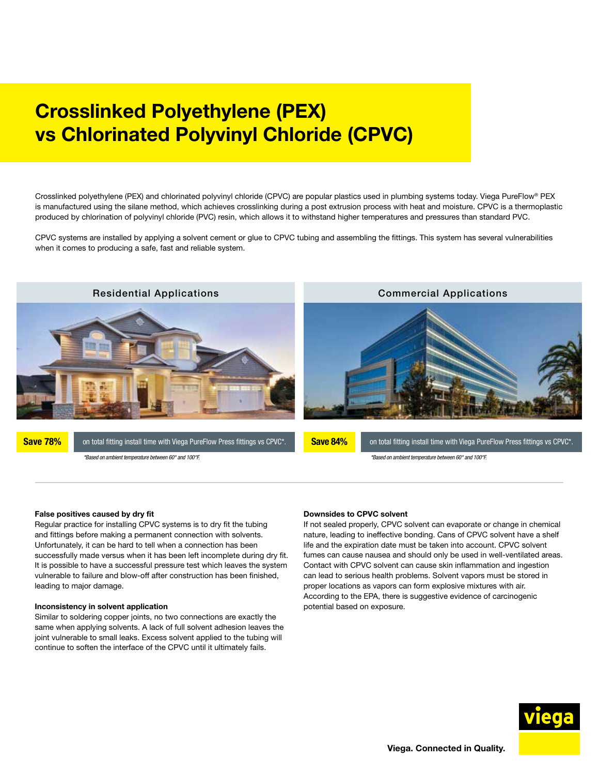# Crosslinked Polyethylene (PEX) vs Chlorinated Polyvinyl Chloride (CPVC)

Crosslinked polyethylene (PEX) and chlorinated polyvinyl chloride (CPVC) are popular plastics used in plumbing systems today. Viega PureFlow® PEX is manufactured using the silane method, which achieves crosslinking during a post extrusion process with heat and moisture. CPVC is a thermoplastic produced by chlorination of polyvinyl chloride (PVC) resin, which allows it to withstand higher temperatures and pressures than standard PVC.

CPVC systems are installed by applying a solvent cement or glue to CPVC tubing and assembling the fittings. This system has several vulnerabilities when it comes to producing a safe, fast and reliable system.



Save 78% on total fitting install time with Viega PureFlow Press fittings vs CPVC\*. Save 84% on total fitting install time with Viega PureFlow Press fittings vs CPVC\*.

Save 84%

*\*Based on ambient temperature between 60° and 100°F. \*Based on ambient temperature between 60° and 100°F.* 

### False positives caused by dry fit

Regular practice for installing CPVC systems is to dry fit the tubing and fittings before making a permanent connection with solvents. Unfortunately, it can be hard to tell when a connection has been successfully made versus when it has been left incomplete during dry fit. It is possible to have a successful pressure test which leaves the system vulnerable to failure and blow-off after construction has been finished, leading to major damage.

#### Inconsistency in solvent application

Similar to soldering copper joints, no two connections are exactly the same when applying solvents. A lack of full solvent adhesion leaves the joint vulnerable to small leaks. Excess solvent applied to the tubing will continue to soften the interface of the CPVC until it ultimately fails.

#### Downsides to CPVC solvent

If not sealed properly, CPVC solvent can evaporate or change in chemical nature, leading to ineffective bonding. Cans of CPVC solvent have a shelf life and the expiration date must be taken into account. CPVC solvent fumes can cause nausea and should only be used in well-ventilated areas. Contact with CPVC solvent can cause skin inflammation and ingestion can lead to serious health problems. Solvent vapors must be stored in proper locations as vapors can form explosive mixtures with air. According to the EPA, there is suggestive evidence of carcinogenic potential based on exposure.